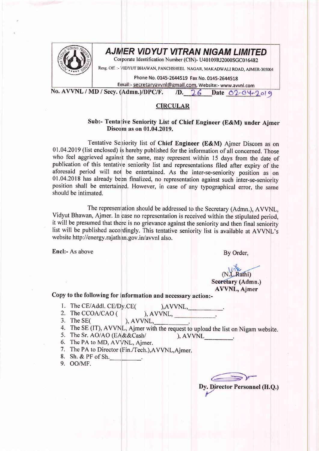

## AJMER VIDYUT VITRAN NIGAM LIMITED

Corporate Identification Number (CIN)- U40109RJ2000SGC016482

Resg. Off. :- VIDYUT BHAWAN, PANCHSHEEL NAGAR, MAKADWALI ROAD, AJMER-305004

Phone No. 0145-2644519 Fax No. 0145-2644518

Email:- secretaryavvnl@gmail.com, Website:- www.avvnl.com

No. AVVNL / MD / Secy. (Admn.)/DPC/F.  $/D.$  26 Date 02-04-2019

## **CIRCULAR**

## Sub:- Tentative Seniority List of Chief Engineer (E&M) under Ajmer Discom as on 01.04.2019.

Tentative Seniority list of Chief Engineer (E&M) Ajmer Discom as on 01.04.2019 (list enclosed) is hereby published for the information of all concerned. Those who feel aggrieved against the same, may represent within 15 days from the date of publication of this tentative seniority list and representations filed after expiry of the aforesaid period will not be entertained. As the inter-se-seniority position as on 01.04.2018 has already been finalized, no representation against such inter-se-seniority position shall be entertained. However, in case of any typographical error, the same should be intimated.

The representation should be addressed to the Secretary (Admn.), AVVNL, Vidyut Bhawan, Ajmer. In case no representation is received within the stipulated period, it will be presumed that there is no grievance against the seniority and then final seniority list will be published accordingly. This tentative seniority list is available at AVVNL's website http://energy.rajathan.gov.in/avvnl also.

Encl:- As above

By Order,

## (N.L.Rathi) Secretary (Admn.) AVVNL, Ajmer

Copy to the following for information and necessary action:-

1. The CE/Addl. CE/Dy.CE(

 $AVVNL$ ,  $\qquad \qquad$ . ), AVVNL, New York (1997)

2. The CCOA/CAO ( 3. The SEC

 $AVVNL$ 

- 4. The SE (IT), AVVNL, Ajmer with the request to upload the list on Nigam website.
- 5. The Sr. AO/AO (EA&&Cash/  $AVVNL$
- 6. The PA to MD, AVVNL, Ajmer.
- 7. The PA to Director (Fin./Tech.), AVVNL, Ajmer.
- 8. Sh. & PF of Sh.
- 9. OO/MF.

Dy. Director Personnel (H.Q.)